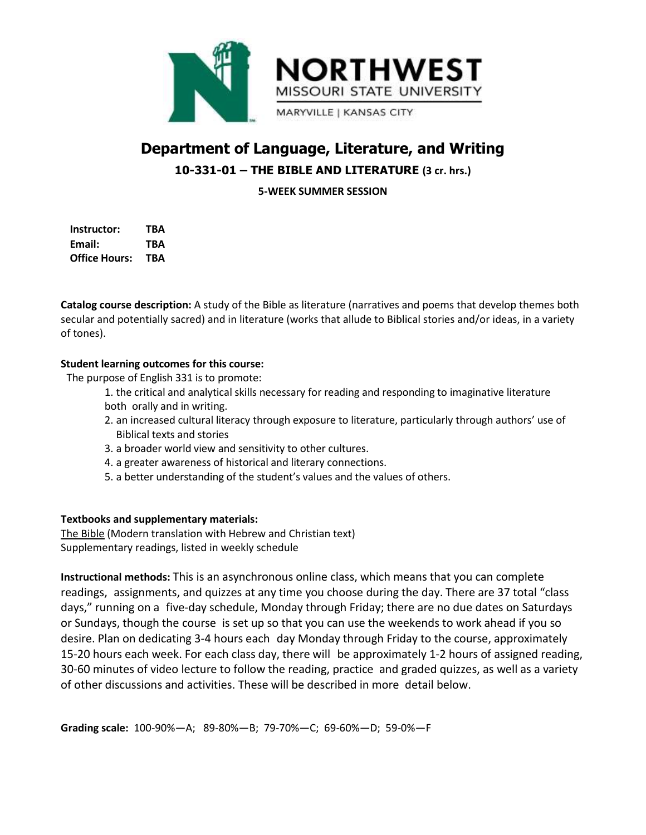

# **Department of Language, Literature, and Writing 10-331-01 – THE BIBLE AND LITERATURE (3 cr. hrs.)**

**5-WEEK SUMMER SESSION**

**Instructor: TBA Email: TBA Office Hours: TBA**

**Catalog course description:** A study of the Bible as literature (narratives and poems that develop themes both secular and potentially sacred) and in literature (works that allude to Biblical stories and/or ideas, in a variety of tones).

## **Student learning outcomes for this course:**

The purpose of English 331 is to promote:

- 1. the critical and analytical skills necessary for reading and responding to imaginative literature both orally and in writing.
- 2. an increased cultural literacy through exposure to literature, particularly through authors' use of Biblical texts and stories
- 3. a broader world view and sensitivity to other cultures.
- 4. a greater awareness of historical and literary connections.
- 5. a better understanding of the student's values and the values of others.

#### **Textbooks and supplementary materials:**

The Bible (Modern translation with Hebrew and Christian text) Supplementary readings, listed in weekly schedule

**Instructional methods:** This is an asynchronous online class, which means that you can complete readings, assignments, and quizzes at any time you choose during the day. There are 37 total "class days," running on a five-day schedule, Monday through Friday; there are no due dates on Saturdays or Sundays, though the course is set up so that you can use the weekends to work ahead if you so desire. Plan on dedicating 3-4 hours each day Monday through Friday to the course, approximately 15-20 hours each week. For each class day, there will be approximately 1-2 hours of assigned reading, 30-60 minutes of video lecture to follow the reading, practice and graded quizzes, as well as a variety of other discussions and activities. These will be described in more detail below.

**Grading scale:** 100-90%—A; 89-80%—B; 79-70%—C; 69-60%—D; 59-0%—F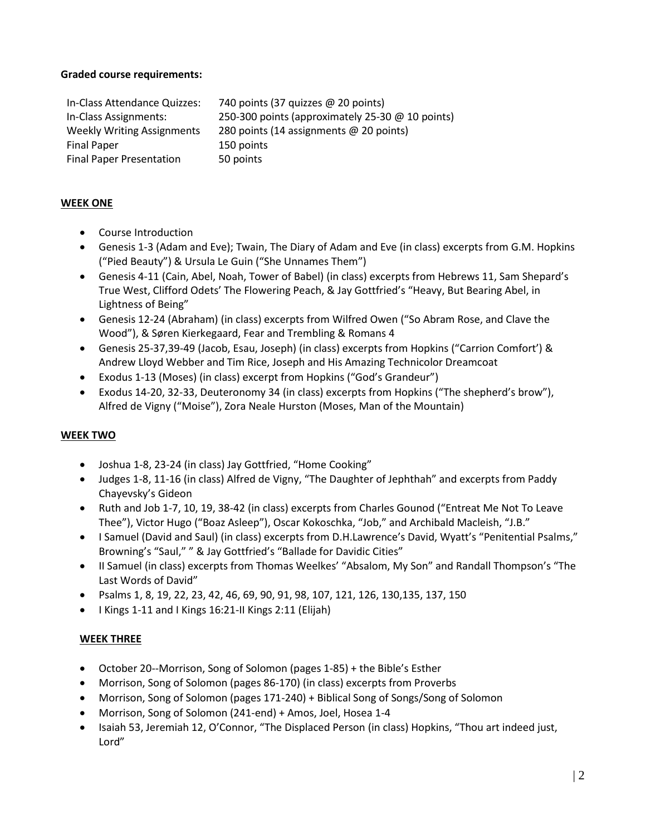### **Graded course requirements:**

In-Class Attendance Quizzes: 740 points (37 quizzes @ 20 points) In-Class Assignments: 250-300 points (approximately 25-30 @ 10 points) Weekly Writing Assignments 280 points (14 assignments @ 20 points) Final Paper 150 points Final Paper Presentation 50 points

# **WEEK ONE**

- Course Introduction
- Genesis 1-3 (Adam and Eve); Twain, The Diary of Adam and Eve (in class) excerpts from G.M. Hopkins ("Pied Beauty") & Ursula Le Guin ("She Unnames Them")
- Genesis 4-11 (Cain, Abel, Noah, Tower of Babel) (in class) excerpts from Hebrews 11, Sam Shepard's True West, Clifford Odets' The Flowering Peach, & Jay Gottfried's "Heavy, But Bearing Abel, in Lightness of Being"
- Genesis 12-24 (Abraham) (in class) excerpts from Wilfred Owen ("So Abram Rose, and Clave the Wood"), & Søren Kierkegaard, Fear and Trembling & Romans 4
- Genesis 25-37,39-49 (Jacob, Esau, Joseph) (in class) excerpts from Hopkins ("Carrion Comfort') & Andrew Lloyd Webber and Tim Rice, Joseph and His Amazing Technicolor Dreamcoat
- Exodus 1-13 (Moses) (in class) excerpt from Hopkins ("God's Grandeur")
- Exodus 14-20, 32-33, Deuteronomy 34 (in class) excerpts from Hopkins ("The shepherd's brow"), Alfred de Vigny ("Moise"), Zora Neale Hurston (Moses, Man of the Mountain)

# **WEEK TWO**

- Joshua 1-8, 23-24 (in class) Jay Gottfried, "Home Cooking"
- Judges 1-8, 11-16 (in class) Alfred de Vigny, "The Daughter of Jephthah" and excerpts from Paddy Chayevsky's Gideon
- Ruth and Job 1-7, 10, 19, 38-42 (in class) excerpts from Charles Gounod ("Entreat Me Not To Leave Thee"), Victor Hugo ("Boaz Asleep"), Oscar Kokoschka, "Job," and Archibald Macleish, "J.B."
- I Samuel (David and Saul) (in class) excerpts from D.H.Lawrence's David, Wyatt's "Penitential Psalms," Browning's "Saul," " & Jay Gottfried's "Ballade for Davidic Cities"
- II Samuel (in class) excerpts from Thomas Weelkes' "Absalom, My Son" and Randall Thompson's "The Last Words of David"
- Psalms 1, 8, 19, 22, 23, 42, 46, 69, 90, 91, 98, 107, 121, 126, 130,135, 137, 150
- $\bullet$  I Kings 1-11 and I Kings 16:21-II Kings 2:11 (Elijah)

# **WEEK THREE**

- October 20--Morrison, Song of Solomon (pages 1-85) + the Bible's Esther
- Morrison, Song of Solomon (pages 86-170) (in class) excerpts from Proverbs
- Morrison, Song of Solomon (pages 171-240) + Biblical Song of Songs/Song of Solomon
- Morrison, Song of Solomon (241-end) + Amos, Joel, Hosea 1-4
- Isaiah 53, Jeremiah 12, O'Connor, "The Displaced Person (in class) Hopkins, "Thou art indeed just, Lord"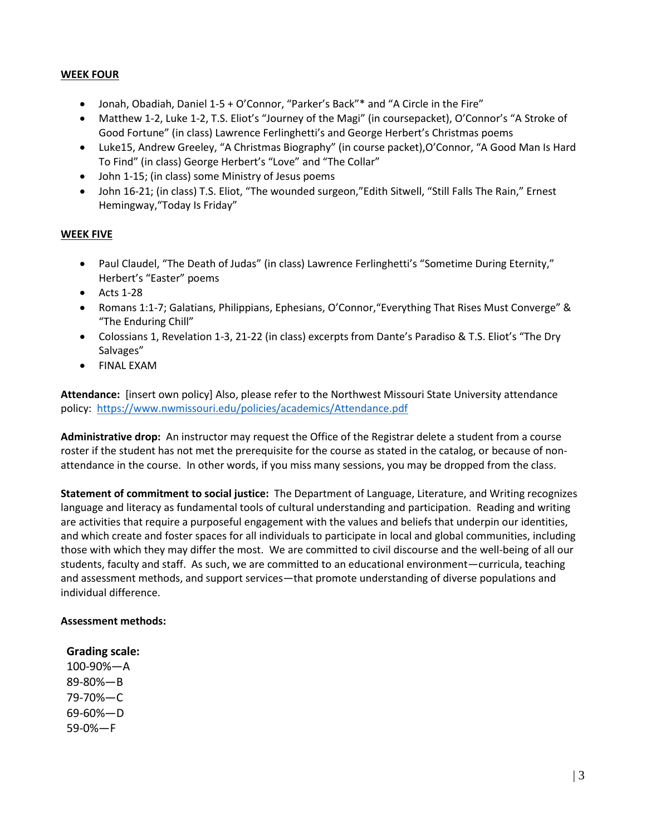## **WEEK FOUR**

- Jonah, Obadiah, Daniel 1-5 + O'Connor, "Parker's Back"\* and "A Circle in the Fire"
- Matthew 1-2, Luke 1-2, T.S. Eliot's "Journey of the Magi" (in coursepacket), O'Connor's "A Stroke of Good Fortune" (in class) Lawrence Ferlinghetti's and George Herbert's Christmas poems
- Luke15, Andrew Greeley, "A Christmas Biography" (in course packet),O'Connor, "A Good Man Is Hard To Find" (in class) George Herbert's "Love" and "The Collar"
- John 1-15; (in class) some Ministry of Jesus poems
- John 16-21; (in class) T.S. Eliot, "The wounded surgeon,"Edith Sitwell, "Still Falls The Rain," Ernest Hemingway,"Today Is Friday"

## **WEEK FIVE**

- Paul Claudel, "The Death of Judas" (in class) Lawrence Ferlinghetti's "Sometime During Eternity," Herbert's "Easter" poems
- $\bullet$  Acts 1-28
- Romans 1:1-7; Galatians, Philippians, Ephesians, O'Connor,"Everything That Rises Must Converge" & "The Enduring Chill"
- Colossians 1, Revelation 1-3, 21-22 (in class) excerpts from Dante's Paradiso & T.S. Eliot's "The Dry Salvages"
- FINAL EXAM

**Attendance:** [insert own policy] Also, please refer to the Northwest Missouri State University attendance policy: <https://www.nwmissouri.edu/policies/academics/Attendance.pdf>

**Administrative drop:** An instructor may request the Office of the Registrar delete a student from a course roster if the student has not met the prerequisite for the course as stated in the catalog, or because of nonattendance in the course. In other words, if you miss many sessions, you may be dropped from the class.

**Statement of commitment to social justice:** The Department of Language, Literature, and Writing recognizes language and literacy as fundamental tools of cultural understanding and participation. Reading and writing are activities that require a purposeful engagement with the values and beliefs that underpin our identities, and which create and foster spaces for all individuals to participate in local and global communities, including those with which they may differ the most. We are committed to civil discourse and the well-being of all our students, faculty and staff. As such, we are committed to an educational environment—curricula, teaching and assessment methods, and support services—that promote understanding of diverse populations and individual difference.

#### **Assessment methods:**

#### **Grading scale:**

100-90%—A 89-80%—B 79-70%—C 69-60%—D 59-0%—F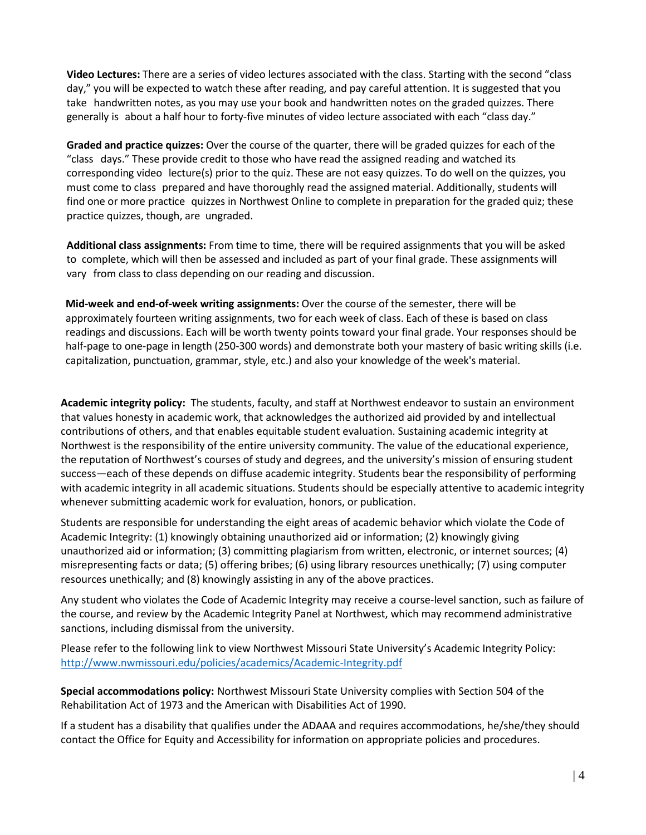**Video Lectures:** There are a series of video lectures associated with the class. Starting with the second "class day," you will be expected to watch these after reading, and pay careful attention. It is suggested that you take handwritten notes, as you may use your book and handwritten notes on the graded quizzes. There generally is about a half hour to forty-five minutes of video lecture associated with each "class day."

**Graded and practice quizzes:** Over the course of the quarter, there will be graded quizzes for each of the "class days." These provide credit to those who have read the assigned reading and watched its corresponding video lecture(s) prior to the quiz. These are not easy quizzes. To do well on the quizzes, you must come to class prepared and have thoroughly read the assigned material. Additionally, students will find one or more practice quizzes in Northwest Online to complete in preparation for the graded quiz; these practice quizzes, though, are ungraded.

**Additional class assignments:** From time to time, there will be required assignments that you will be asked to complete, which will then be assessed and included as part of your final grade. These assignments will vary from class to class depending on our reading and discussion.

**Mid-week and end-of-week writing assignments:** Over the course of the semester, there will be approximately fourteen writing assignments, two for each week of class. Each of these is based on class readings and discussions. Each will be worth twenty points toward your final grade. Your responses should be half-page to one-page in length (250-300 words) and demonstrate both your mastery of basic writing skills (i.e. capitalization, punctuation, grammar, style, etc.) and also your knowledge of the week's material.

**Academic integrity policy:** The students, faculty, and staff at Northwest endeavor to sustain an environment that values honesty in academic work, that acknowledges the authorized aid provided by and intellectual contributions of others, and that enables equitable student evaluation. Sustaining academic integrity at Northwest is the responsibility of the entire university community. The value of the educational experience, the reputation of Northwest's courses of study and degrees, and the university's mission of ensuring student success—each of these depends on diffuse academic integrity. Students bear the responsibility of performing with academic integrity in all academic situations. Students should be especially attentive to academic integrity whenever submitting academic work for evaluation, honors, or publication.

Students are responsible for understanding the eight areas of academic behavior which violate the Code of Academic Integrity: (1) knowingly obtaining unauthorized aid or information; (2) knowingly giving unauthorized aid or information; (3) committing plagiarism from written, electronic, or internet sources; (4) misrepresenting facts or data; (5) offering bribes; (6) using library resources unethically; (7) using computer resources unethically; and (8) knowingly assisting in any of the above practices.

Any student who violates the Code of Academic Integrity may receive a course-level sanction, such as failure of the course, and review by the Academic Integrity Panel at Northwest, which may recommend administrative sanctions, including dismissal from the university.

Please refer to the following link to view Northwest Missouri State University's Academic Integrity Policy: <http://www.nwmissouri.edu/policies/academics/Academic-Integrity.pdf>

**Special accommodations policy:** Northwest Missouri State University complies with Section 504 of the Rehabilitation Act of 1973 and the American with Disabilities Act of 1990.

If a student has a disability that qualifies under the ADAAA and requires accommodations, he/she/they should contact the Office for Equity and Accessibility for information on appropriate policies and procedures.